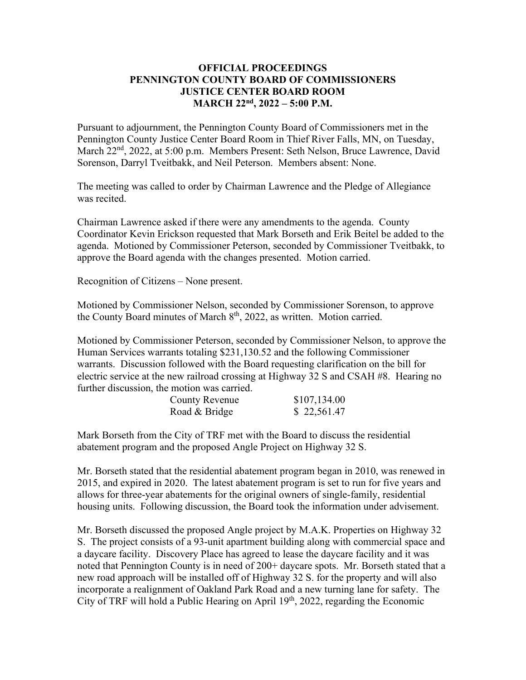## **OFFICIAL PROCEEDINGS PENNINGTON COUNTY BOARD OF COMMISSIONERS JUSTICE CENTER BOARD ROOM MARCH 22nd, 2022 – 5:00 P.M.**

Pursuant to adjournment, the Pennington County Board of Commissioners met in the Pennington County Justice Center Board Room in Thief River Falls, MN, on Tuesday, March 22<sup>nd</sup>, 2022, at 5:00 p.m. Members Present: Seth Nelson, Bruce Lawrence, David Sorenson, Darryl Tveitbakk, and Neil Peterson. Members absent: None.

The meeting was called to order by Chairman Lawrence and the Pledge of Allegiance was recited.

Chairman Lawrence asked if there were any amendments to the agenda. County Coordinator Kevin Erickson requested that Mark Borseth and Erik Beitel be added to the agenda. Motioned by Commissioner Peterson, seconded by Commissioner Tveitbakk, to approve the Board agenda with the changes presented. Motion carried.

Recognition of Citizens – None present.

Motioned by Commissioner Nelson, seconded by Commissioner Sorenson, to approve the County Board minutes of March  $8<sup>th</sup>$ , 2022, as written. Motion carried.

Motioned by Commissioner Peterson, seconded by Commissioner Nelson, to approve the Human Services warrants totaling \$231,130.52 and the following Commissioner warrants. Discussion followed with the Board requesting clarification on the bill for electric service at the new railroad crossing at Highway 32 S and CSAH #8. Hearing no further discussion, the motion was carried.

| <b>County Revenue</b> | \$107,134.00 |
|-----------------------|--------------|
| Road & Bridge         | \$22,561.47  |

Mark Borseth from the City of TRF met with the Board to discuss the residential abatement program and the proposed Angle Project on Highway 32 S.

Mr. Borseth stated that the residential abatement program began in 2010, was renewed in 2015, and expired in 2020. The latest abatement program is set to run for five years and allows for three-year abatements for the original owners of single-family, residential housing units. Following discussion, the Board took the information under advisement.

Mr. Borseth discussed the proposed Angle project by M.A.K. Properties on Highway 32 S. The project consists of a 93-unit apartment building along with commercial space and a daycare facility. Discovery Place has agreed to lease the daycare facility and it was noted that Pennington County is in need of 200+ daycare spots. Mr. Borseth stated that a new road approach will be installed off of Highway 32 S. for the property and will also incorporate a realignment of Oakland Park Road and a new turning lane for safety. The City of TRF will hold a Public Hearing on April  $19<sup>th</sup>$ , 2022, regarding the Economic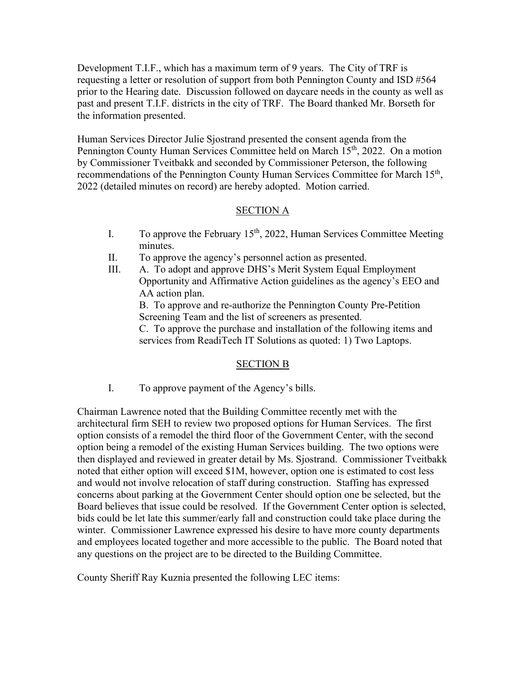Development T.I.F., which has a maximum term of 9 years. The City of TRF is requesting a letter or resolution of support from both Pennington County and ISD #564 prior to the Hearing date. Discussion followed on daycare needs in the county as well as past and present T.I.F. districts in the city of TRF. The Board thanked Mr. Borseth for the information presented.

Human Services Director Julie Sjostrand presented the consent agenda from the Pennington County Human Services Committee held on March 15<sup>th</sup>, 2022. On a motion by Commissioner Tveitbakk and seconded by Commissioner Peterson, the following recommendations of the Pennington County Human Services Committee for March 15<sup>th</sup>, 2022 (detailed minutes on record) are hereby adopted. Motion carried.

## SECTION A

- I. To approve the February 15<sup>th</sup>, 2022, Human Services Committee Meeting minutes.
- II. To approve the agency's personnel action as presented.
- III. A. To adopt and approve DHS's Merit System Equal Employment Opportunity and Affirmative Action guidelines as the agency's EEO and AA action plan.

B. To approve and re-authorize the Pennington County Pre-Petition Screening Team and the list of screeners as presented.

C. To approve the purchase and installation of the following items and services from ReadiTech IT Solutions as quoted: 1) Two Laptops.

## SECTION B

I. To approve payment of the Agency's bills.

Chairman Lawrence noted that the Building Committee recently met with the architectural firm SEH to review two proposed options for Human Services. The first option consists of a remodel the third floor of the Government Center, with the second option being a remodel of the existing Human Services building. The two options were then displayed and reviewed in greater detail by Ms. Sjostrand. Commissioner Tveitbakk noted that either option will exceed \$1M, however, option one is estimated to cost less and would not involve relocation of staff during construction. Staffing has expressed concerns about parking at the Government Center should option one be selected, but the Board believes that issue could be resolved. If the Government Center option is selected, bids could be let late this summer/early fall and construction could take place during the winter. Commissioner Lawrence expressed his desire to have more county departments and employees located together and more accessible to the public. The Board noted that any questions on the project are to be directed to the Building Committee.

County Sheriff Ray Kuznia presented the following LEC items: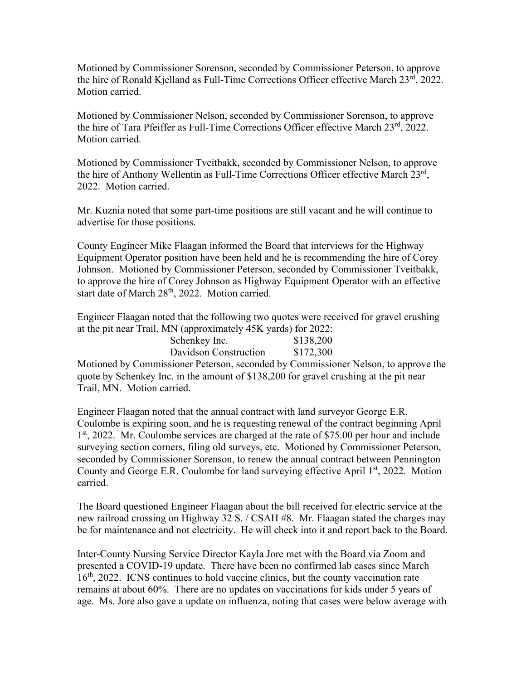Motioned by Commissioner Sorenson, seconded by Commissioner Peterson, to approve the hire of Ronald Kjelland as Full-Time Corrections Officer effective March  $23<sup>rd</sup>$ , 2022. Motion carried.

Motioned by Commissioner Nelson, seconded by Commissioner Sorenson, to approve the hire of Tara Pfeiffer as Full-Time Corrections Officer effective March 23<sup>rd</sup>, 2022. Motion carried.

Motioned by Commissioner Tveitbakk, seconded by Commissioner Nelson, to approve the hire of Anthony Wellentin as Full-Time Corrections Officer effective March 23rd, 2022. Motion carried.

Mr. Kuznia noted that some part-time positions are still vacant and he will continue to advertise for those positions.

County Engineer Mike Flaagan informed the Board that interviews for the Highway Equipment Operator position have been held and he is recommending the hire of Corey Johnson. Motioned by Commissioner Peterson, seconded by Commissioner Tveitbakk, to approve the hire of Corey Johnson as Highway Equipment Operator with an effective start date of March 28<sup>th</sup>, 2022. Motion carried.

Engineer Flaagan noted that the following two quotes were received for gravel crushing at the pit near Trail, MN (approximately 45K yards) for 2022:

| $\sqrt{1}$            |  |           |
|-----------------------|--|-----------|
| Schenkey Inc.         |  | \$138,200 |
| Davidson Construction |  | \$172,300 |

Motioned by Commissioner Peterson, seconded by Commissioner Nelson, to approve the quote by Schenkey Inc. in the amount of \$138,200 for gravel crushing at the pit near Trail, MN. Motion carried.

Engineer Flaagan noted that the annual contract with land surveyor George E.R. Coulombe is expiring soon, and he is requesting renewal of the contract beginning April 1<sup>st</sup>, 2022. Mr. Coulombe services are charged at the rate of \$75.00 per hour and include surveying section corners, filing old surveys, etc. Motioned by Commissioner Peterson, seconded by Commissioner Sorenson, to renew the annual contract between Pennington County and George E.R. Coulombe for land surveying effective April  $1<sup>st</sup>$ , 2022. Motion carried.

The Board questioned Engineer Flaagan about the bill received for electric service at the new railroad crossing on Highway 32 S. / CSAH #8. Mr. Flaagan stated the charges may be for maintenance and not electricity. He will check into it and report back to the Board.

Inter-County Nursing Service Director Kayla Jore met with the Board via Zoom and presented a COVID-19 update. There have been no confirmed lab cases since March 16<sup>th</sup>, 2022. ICNS continues to hold vaccine clinics, but the county vaccination rate remains at about 60%. There are no updates on vaccinations for kids under 5 years of age. Ms. Jore also gave a update on influenza, noting that cases were below average with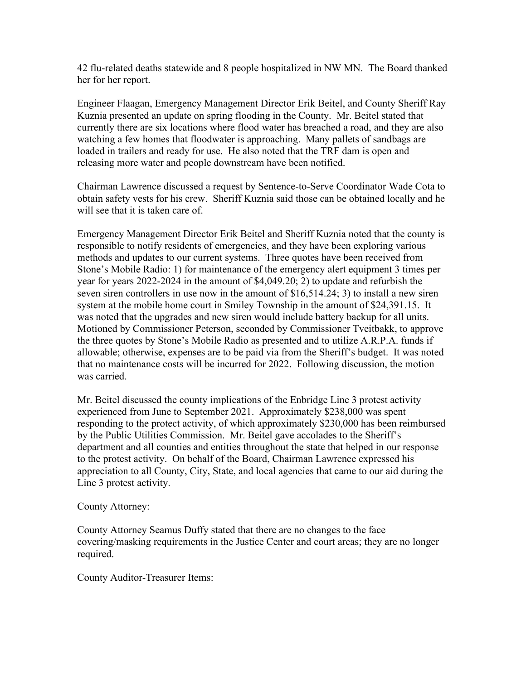42 flu-related deaths statewide and 8 people hospitalized in NW MN. The Board thanked her for her report.

Engineer Flaagan, Emergency Management Director Erik Beitel, and County Sheriff Ray Kuznia presented an update on spring flooding in the County. Mr. Beitel stated that currently there are six locations where flood water has breached a road, and they are also watching a few homes that floodwater is approaching. Many pallets of sandbags are loaded in trailers and ready for use. He also noted that the TRF dam is open and releasing more water and people downstream have been notified.

Chairman Lawrence discussed a request by Sentence-to-Serve Coordinator Wade Cota to obtain safety vests for his crew. Sheriff Kuznia said those can be obtained locally and he will see that it is taken care of.

Emergency Management Director Erik Beitel and Sheriff Kuznia noted that the county is responsible to notify residents of emergencies, and they have been exploring various methods and updates to our current systems. Three quotes have been received from Stone's Mobile Radio: 1) for maintenance of the emergency alert equipment 3 times per year for years 2022-2024 in the amount of \$4,049.20; 2) to update and refurbish the seven siren controllers in use now in the amount of \$16,514.24; 3) to install a new siren system at the mobile home court in Smiley Township in the amount of \$24,391.15. It was noted that the upgrades and new siren would include battery backup for all units. Motioned by Commissioner Peterson, seconded by Commissioner Tveitbakk, to approve the three quotes by Stone's Mobile Radio as presented and to utilize A.R.P.A. funds if allowable; otherwise, expenses are to be paid via from the Sheriff's budget. It was noted that no maintenance costs will be incurred for 2022. Following discussion, the motion was carried.

Mr. Beitel discussed the county implications of the Enbridge Line 3 protest activity experienced from June to September 2021. Approximately \$238,000 was spent responding to the protect activity, of which approximately \$230,000 has been reimbursed by the Public Utilities Commission. Mr. Beitel gave accolades to the Sheriff's department and all counties and entities throughout the state that helped in our response to the protest activity. On behalf of the Board, Chairman Lawrence expressed his appreciation to all County, City, State, and local agencies that came to our aid during the Line 3 protest activity.

County Attorney:

County Attorney Seamus Duffy stated that there are no changes to the face covering/masking requirements in the Justice Center and court areas; they are no longer required.

County Auditor-Treasurer Items: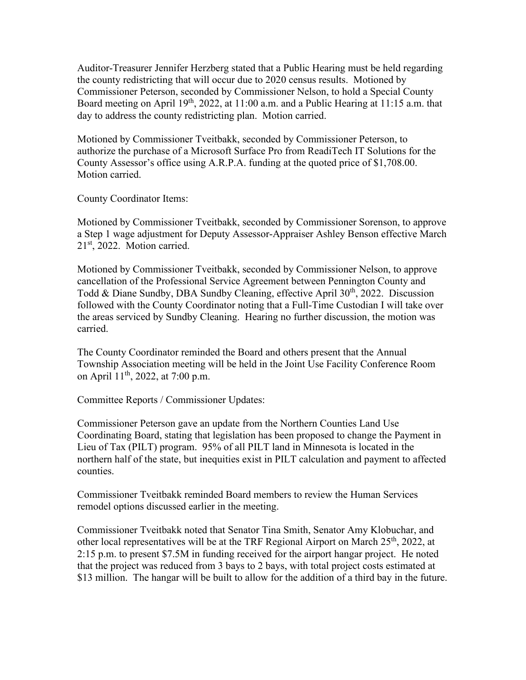Auditor-Treasurer Jennifer Herzberg stated that a Public Hearing must be held regarding the county redistricting that will occur due to 2020 census results. Motioned by Commissioner Peterson, seconded by Commissioner Nelson, to hold a Special County Board meeting on April 19<sup>th</sup>, 2022, at 11:00 a.m. and a Public Hearing at 11:15 a.m. that day to address the county redistricting plan. Motion carried.

Motioned by Commissioner Tveitbakk, seconded by Commissioner Peterson, to authorize the purchase of a Microsoft Surface Pro from ReadiTech IT Solutions for the County Assessor's office using A.R.P.A. funding at the quoted price of \$1,708.00. Motion carried.

County Coordinator Items:

Motioned by Commissioner Tveitbakk, seconded by Commissioner Sorenson, to approve a Step 1 wage adjustment for Deputy Assessor-Appraiser Ashley Benson effective March 21st, 2022. Motion carried.

Motioned by Commissioner Tveitbakk, seconded by Commissioner Nelson, to approve cancellation of the Professional Service Agreement between Pennington County and Todd & Diane Sundby, DBA Sundby Cleaning, effective April 30<sup>th</sup>, 2022. Discussion followed with the County Coordinator noting that a Full-Time Custodian I will take over the areas serviced by Sundby Cleaning. Hearing no further discussion, the motion was carried.

The County Coordinator reminded the Board and others present that the Annual Township Association meeting will be held in the Joint Use Facility Conference Room on April 11<sup>th</sup>, 2022, at 7:00 p.m.

Committee Reports / Commissioner Updates:

Commissioner Peterson gave an update from the Northern Counties Land Use Coordinating Board, stating that legislation has been proposed to change the Payment in Lieu of Tax (PILT) program. 95% of all PILT land in Minnesota is located in the northern half of the state, but inequities exist in PILT calculation and payment to affected counties.

Commissioner Tveitbakk reminded Board members to review the Human Services remodel options discussed earlier in the meeting.

Commissioner Tveitbakk noted that Senator Tina Smith, Senator Amy Klobuchar, and other local representatives will be at the TRF Regional Airport on March  $25<sup>th</sup>$ , 2022, at 2:15 p.m. to present \$7.5M in funding received for the airport hangar project. He noted that the project was reduced from 3 bays to 2 bays, with total project costs estimated at \$13 million. The hangar will be built to allow for the addition of a third bay in the future.